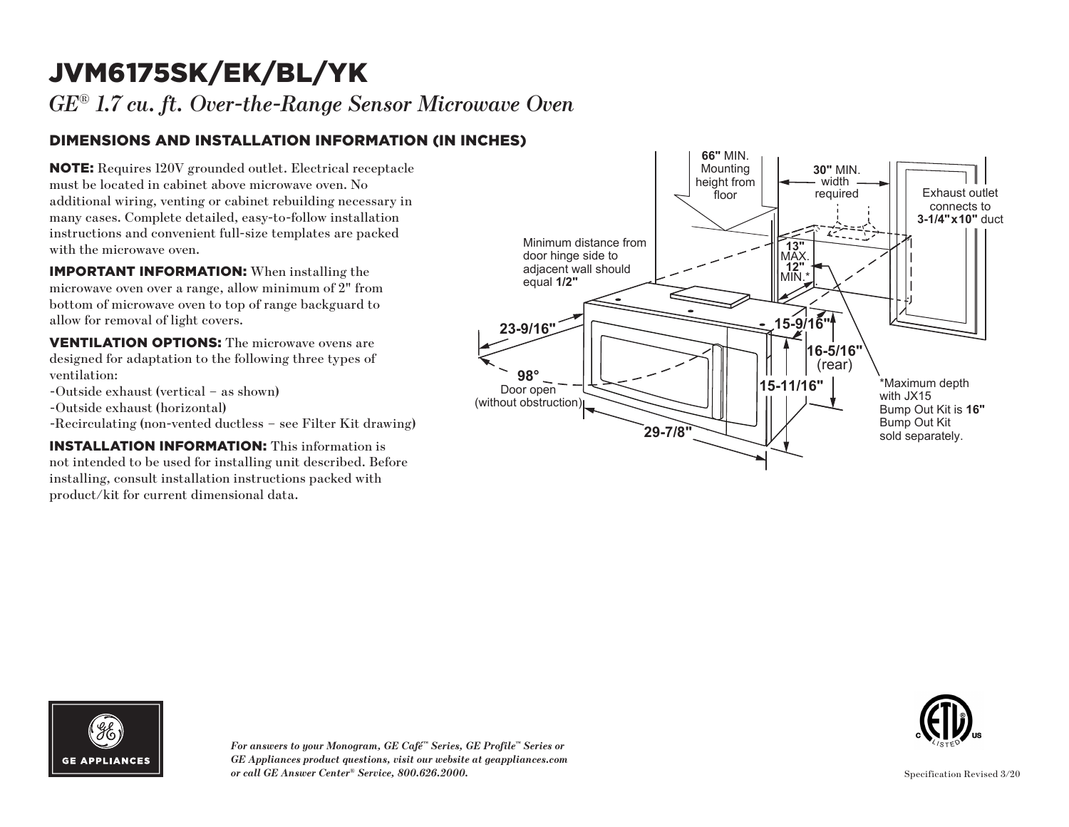# JVM6175SK/EK/BL/YK

*GE*® *1.7 cu. ft. Over-the-Range Sensor Microwave Oven*

### DIMENSIONS AND INSTALLATION INFORMATION (IN INCHES)

NOTE: Requires 120V grounded outlet. Electrical receptacle must be located in cabinet above microwave oven. No additional wiring, venting or cabinet rebuilding necessary in many cases. Complete detailed, easy-to-follow installation instructions and convenient full-size templates are packed with the microwave oven.

IMPORTANT INFORMATION: When installing the microwave oven over a range, allow minimum of 2" from bottom of microwave oven to top of range backguard to allow for removal of light covers.

VENTILATION OPTIONS: The microwave ovens are designed for adaptation to the following three types of ventilation:

- -Outside exhaust (vertical as shown)
- -Outside exhaust (horizontal)
- -Recirculating (non-vented ductless see Filter Kit drawing)

INSTALLATION INFORMATION: This information is not intended to be used for installing unit described. Before installing, consult installation instructions packed with product/kit for current dimensional data.







*For answers to your Monogram, GE Café™ Series, GE Profile™ Series or GE Appliances product questions, visit our website at geappliances.com or call GE Answer Center® Service, 800.626.2000.*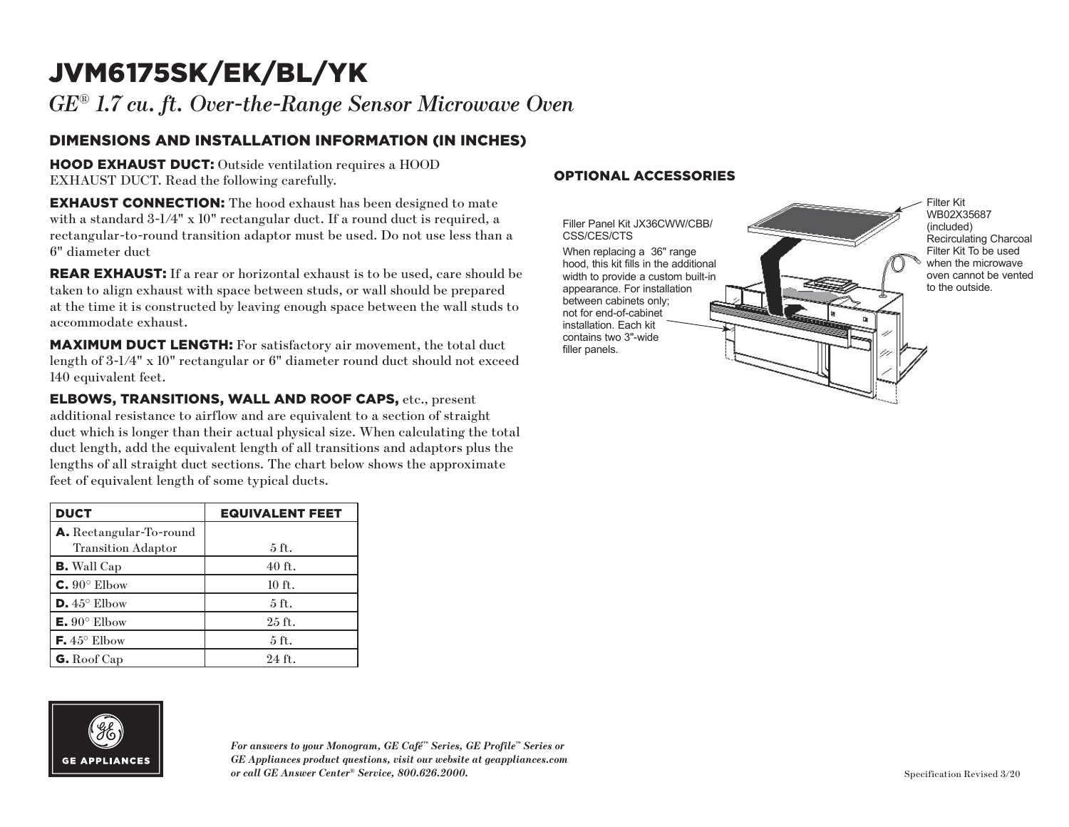# JVM6175SK/EK/BL/YK

*GE*® *1.7 cu. ft. Over-the-Range Sensor Microwave Oven*

### DIMENSIONS AND INSTALLATION INFORMATION (IN INCHES)

HOOD EXHAUST DUCT: Outside ventilation requires a HOOD EXHAUST DUCT. Read the following carefully.

**EXHAUST CONNECTION:** The hood exhaust has been designed to mate with a standard 3-1/4" x 10" rectangular duct. If a round duct is required, a rectangular-to-round transition adaptor must be used. Do not use less than a 6" diameter duct

**REAR EXHAUST:** If a rear or horizontal exhaust is to be used, care should be taken to align exhaust with space between studs, or wall should be prepared at the time it is constructed by leaving enough space between the wall studs to accommodate exhaust.

MAXIMUM DUCT LENGTH: For satisfactory air movement, the total duct length of 3-1/4" x 10" rectangular or 6" diameter round duct should not exceed 140 equivalent feet.

ELBOWS, TRANSITIONS, WALL AND ROOF CAPS, etc., present additional resistance to airflow and are equivalent to a section of straight duct which is longer than their actual physical size. When calculating the total duct length, add the equivalent length of all transitions and adaptors plus the lengths of all straight duct sections. The chart below shows the approximate feet of equivalent length of some typical ducts.

| <b>DUCT</b>                    | <b>EQUIVALENT FEET</b> |
|--------------------------------|------------------------|
| <b>A.</b> Rectangular-To-round |                        |
| <b>Transition Adaptor</b>      | $5$ ft.                |
| <b>B.</b> Wall Cap             | $40$ ft.               |
| $C. 90^\circ$ Elbow            | $10$ ft.               |
| $D.45^{\circ}$ Elbow           | $5$ ft.                |
| $E. 90^{\circ}$ Elbow          | $25$ ft.               |
| $\mathsf{F.}45^{\circ}$ Elbow  | $5$ ft.                |
| G. Roof Cap                    | 24 ft.                 |

# **GE APPLIANCES**

*For answers to your Monogram, GE Café™ Series, GE Profile™ Series or GE Appliances product questions, visit our website at geappliances.com or call GE Answer Center® Service, 800.626.2000.*

#### OPTIONAL ACCESSORIES